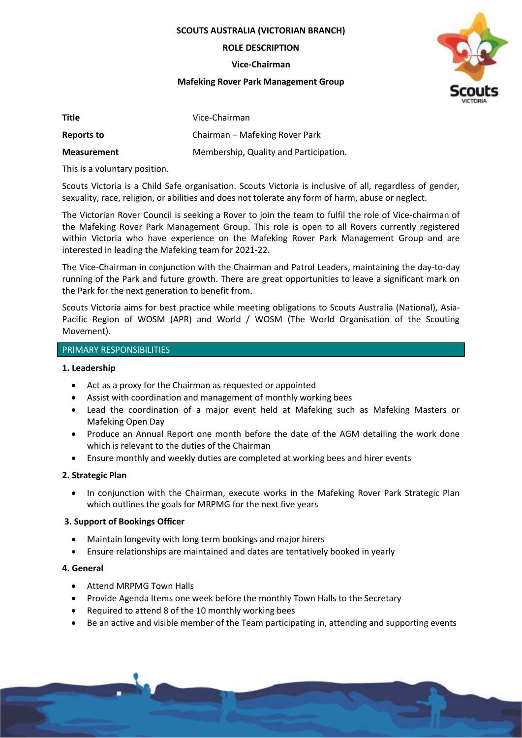**SCOUTS AUSTRALIA (VICTORIAN BRANCH)**

**ROLE DESCRIPTION**

**Vice-Chairman**

### **Mafeking Rover Park Management Group**



| <b>Title</b>       | Vice-Chairman                          |
|--------------------|----------------------------------------|
| Reports to         | Chairman – Mafeking Rover Park         |
| <b>Measurement</b> | Membership, Quality and Participation. |

This is a voluntary position.

Scouts Victoria is a Child Safe organisation. Scouts Victoria is inclusive of all, regardless of gender, sexuality, race, religion, or abilities and does not tolerate any form of harm, abuse or neglect.

The Victorian Rover Council is seeking a Rover to join the team to fulfil the role of Vice-chairman of the Mafeking Rover Park Management Group. This role is open to all Rovers currently registered within Victoria who have experience on the Mafeking Rover Park Management Group and are interested in leading the Mafeking team for 2021-22.

The Vice-Chairman in conjunction with the Chairman and Patrol Leaders, maintaining the day-to-day running of the Park and future growth. There are great opportunities to leave a significant mark on the Park for the next generation to benefit from.

Scouts Victoria aims for best practice while meeting obligations to Scouts Australia (National), Asia-Pacific Region of WOSM (APR) and World / WOSM (The World Organisation of the Scouting Movement).

## PRIMARY RESPONSIBILITIES

### **1. Leadership**

- Act as a proxy for the Chairman as requested or appointed
- Assist with coordination and management of monthly working bees
- Lead the coordination of a major event held at Mafeking such as Mafeking Masters or Mafeking Open Day
- Produce an Annual Report one month before the date of the AGM detailing the work done which is relevant to the duties of the Chairman
- Ensure monthly and weekly duties are completed at working bees and hirer events

## **2. Strategic Plan**

• In conjunction with the Chairman, execute works in the Mafeking Rover Park Strategic Plan which outlines the goals for MRPMG for the next five years

# **3. Support of Bookings Officer**

- Maintain longevity with long term bookings and major hirers
- Ensure relationships are maintained and dates are tentatively booked in yearly

## **4. General**

- Attend MRPMG Town Halls
- Provide Agenda Items one week before the monthly Town Halls to the Secretary
- Required to attend 8 of the 10 monthly working bees
- Be an active and visible member of the Team participating in, attending and supporting events